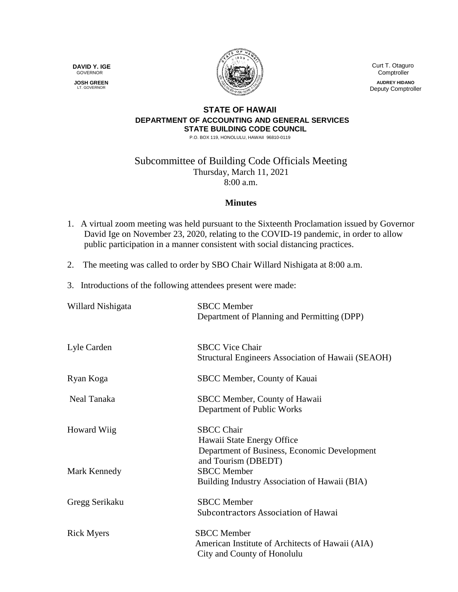**DAVID Y. IGE** GOVERNOR

 **JOSH GREEN** LT. GOVERNOR



 Curt T. Otaguro **Comptroller** 

**AUDREY HIDANO** Deputy Comptroller

## **STATE OF HAWAII DEPARTMENT OF ACCOUNTING AND GENERAL SERVICES STATE BUILDING CODE COUNCIL**

P.O. BOX 119, HONOLULU, HAWAII 96810-0119

Subcommittee of Building Code Officials Meeting Thursday, March 11, 2021 8:00 a.m.

## **Minutes**

- 1. A virtual zoom meeting was held pursuant to the Sixteenth Proclamation issued by Governor David Ige on November 23, 2020, relating to the COVID-19 pandemic, in order to allow public participation in a manner consistent with social distancing practices.
- 2. The meeting was called to order by SBO Chair Willard Nishigata at 8:00 a.m.
- 3. Introductions of the following attendees present were made:

| Willard Nishigata | <b>SBCC</b> Member<br>Department of Planning and Permitting (DPP)                                                      |
|-------------------|------------------------------------------------------------------------------------------------------------------------|
| Lyle Carden       | <b>SBCC Vice Chair</b><br>Structural Engineers Association of Hawaii (SEAOH)                                           |
| Ryan Koga         | SBCC Member, County of Kauai                                                                                           |
| Neal Tanaka       | SBCC Member, County of Hawaii<br>Department of Public Works                                                            |
| Howard Wiig       | <b>SBCC Chair</b><br>Hawaii State Energy Office<br>Department of Business, Economic Development<br>and Tourism (DBEDT) |
| Mark Kennedy      | <b>SBCC</b> Member<br>Building Industry Association of Hawaii (BIA)                                                    |
| Gregg Serikaku    | <b>SBCC</b> Member<br>Subcontractors Association of Hawai                                                              |
| <b>Rick Myers</b> | <b>SBCC</b> Member<br>American Institute of Architects of Hawaii (AIA)<br>City and County of Honolulu                  |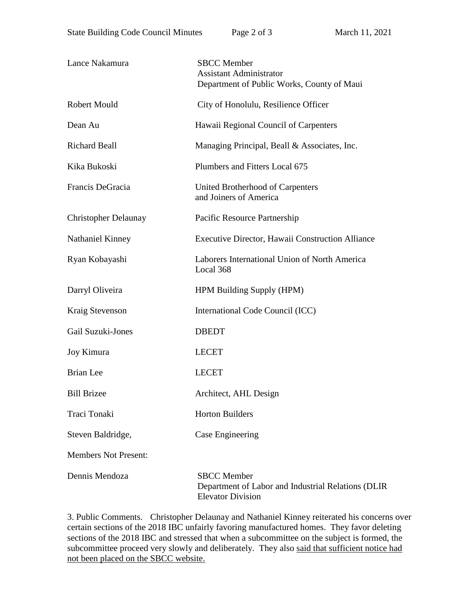| Lance Nakamura              | <b>SBCC</b> Member<br><b>Assistant Administrator</b><br>Department of Public Works, County of Maui   |
|-----------------------------|------------------------------------------------------------------------------------------------------|
| <b>Robert Mould</b>         | City of Honolulu, Resilience Officer                                                                 |
| Dean Au                     | Hawaii Regional Council of Carpenters                                                                |
| <b>Richard Beall</b>        | Managing Principal, Beall & Associates, Inc.                                                         |
| Kika Bukoski                | Plumbers and Fitters Local 675                                                                       |
| Francis DeGracia            | United Brotherhood of Carpenters<br>and Joiners of America                                           |
| <b>Christopher Delaunay</b> | Pacific Resource Partnership                                                                         |
| Nathaniel Kinney            | Executive Director, Hawaii Construction Alliance                                                     |
| Ryan Kobayashi              | Laborers International Union of North America<br>Local 368                                           |
| Darryl Oliveira             | <b>HPM Building Supply (HPM)</b>                                                                     |
| Kraig Stevenson             | International Code Council (ICC)                                                                     |
| Gail Suzuki-Jones           | <b>DBEDT</b>                                                                                         |
| Joy Kimura                  | <b>LECET</b>                                                                                         |
| <b>Brian</b> Lee            | <b>LECET</b>                                                                                         |
| <b>Bill Brizee</b>          | Architect, AHL Design                                                                                |
| Traci Tonaki                | <b>Horton Builders</b>                                                                               |
| Steven Baldridge,           | Case Engineering                                                                                     |
| <b>Members Not Present:</b> |                                                                                                      |
| Dennis Mendoza              | <b>SBCC</b> Member<br>Department of Labor and Industrial Relations (DLIR<br><b>Elevator Division</b> |

3. Public Comments. Christopher Delaunay and Nathaniel Kinney reiterated his concerns over certain sections of the 2018 IBC unfairly favoring manufactured homes. They favor deleting sections of the 2018 IBC and stressed that when a subcommittee on the subject is formed, the subcommittee proceed very slowly and deliberately. They also said that sufficient notice had not been placed on the SBCC website.